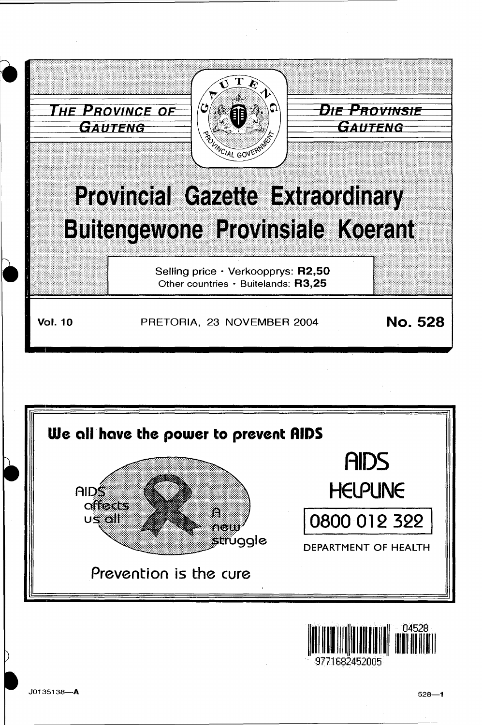

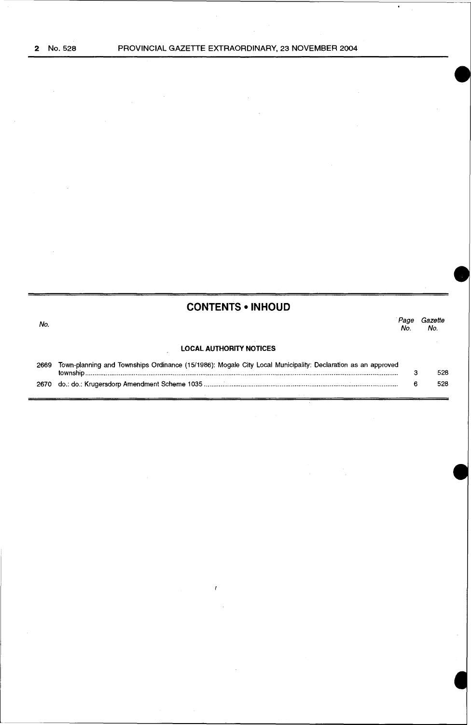$\sim$ 

 $\bar{\beta}$ 

 $\label{eq:2.1} \begin{split} \mathcal{L}_{\text{max}}(\mathbf{r}) = \mathcal{L}_{\text{max}}(\mathbf{r}) \mathcal{L}_{\text{max}}(\mathbf{r}) \mathcal{L}_{\text{max}}(\mathbf{r}) \mathcal{L}_{\text{max}}(\mathbf{r}) \mathcal{L}_{\text{max}}(\mathbf{r}) \mathcal{L}_{\text{max}}(\mathbf{r}) \mathcal{L}_{\text{max}}(\mathbf{r}) \mathcal{L}_{\text{max}}(\mathbf{r}) \mathcal{L}_{\text{max}}(\mathbf{r}) \mathcal{L}_{\text{max}}(\mathbf{r}) \mathcal{L}_{\text{max}}(\mathbf{r}) \$ 

 $\mathcal{A}$ 

 $\mathcal{L}(\mathcal{A})$  and  $\mathcal{L}(\mathcal{A})$  $\mathcal{L}^{\text{max}}_{\text{max}}$ 

 $\mathcal{L}^{\text{max}}_{\text{max}}$  and  $\mathcal{L}^{\text{max}}_{\text{max}}$ 

 $\sim$   $\epsilon$ 

| <b>CONTENTS • INHOUD</b> |  |
|--------------------------|--|
|--------------------------|--|

| No.  |                                                                                                             | No. | Gazette<br>No. |
|------|-------------------------------------------------------------------------------------------------------------|-----|----------------|
|      | <b>LOCAL AUTHORITY NOTICES</b>                                                                              |     |                |
| 2669 | Town-planning and Townships Ordinance (15/1986): Mogale City Local Municipality: Declaration as an approved |     | 528            |
| 2670 |                                                                                                             |     | 528            |

 $\ell$ 

 $\sim$ 

 $\mathcal{A}^{\mathcal{A}}$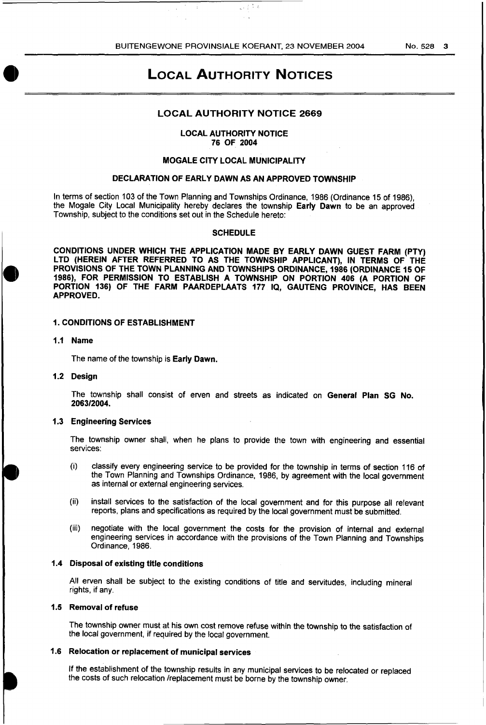$\sqrt{1 + \frac{1}{2}}$ 

# LOCAL AUTHORITY NOTICES

# LOCAL AUTHORITY NOTICE 2669

#### LOCAL AUTHORITY NOTICE 76 OF 2004

## MOGALE CITY LOCAL MUNICIPALITY

## DECLARATION OF EARLY DAWN AS AN APPROVED TOWNSHIP

In terms of section 103 of the Town Planning and Townships Ordinance, 1986 (Ordinance 15 of 1986), the Mogale City Local Municipality hereby declares the township Early Dawn to be an approved Township, subject to the conditions set out in the Schedule hereto:

## **SCHEDULE**

CONDITIONS UNDER WHICH THE APPLICATION MADE BY EARLY DAWN GUEST FARM (PTY) LTD (HEREIN AFTER REFERRED TO AS THE TOWNSHIP APPLICANT), IN TERMS OF THE PROVISIONS OF THE TOWN PLANNING AND TOWNSHIPS ORDINANCE, 1986 (ORDINANCE 15 OF 1986), FOR PERMISSION TO ESTABLISH A TOWNSHIP ON PORTION 406 (A PORTION OF PORTION 136) OF THE FARM PAARDEPLAATS 177 IQ, GAUTENG PROVINCE, HAS BEEN APPROVED.

## 1. CONDITIONS OF ESTABLISHMENT

#### 1.1 Name

The name of the township is Early Dawn.

## 1.2 Design

The township shall consist of erven and streets as indicated on General Plan SG No. 2063/2004.

#### 1.3 Engineering Services

The township owner shall, when he plans to provide the town with engineering and essential services:

- (i) classify every engineering service to be provided for the township in terms of section 116 of the Town Planning and Townships Ordinance, 1986, by agreement with the local government as internal or external engineering services.
- (ii) install services to the satisfaction of the local government and for this purpose all relevant reports, plans and specifications as required by the local government must be submitted.
- (iii) negotiate with the local government the costs for the provision of internal and external engineering services in accordance with the provisions of the Town Planning and Townships Ordinance, 1986.

## 1.4 Disposal of existing title conditions

All erven shall be subject to the existing conditions of title and servitudes, including mineral rights, if any.

# 1.5 Removal of refuse

The township owner must at his own cost remove refuse within the township to the satisfaction of the local government, if required by the local government.

#### 1.6 Relocation or replacement of municipal services

If the establishment of the township results in any municipal services to be relocated or replaced the costs of such relocation /replacement must be borne by the township owner.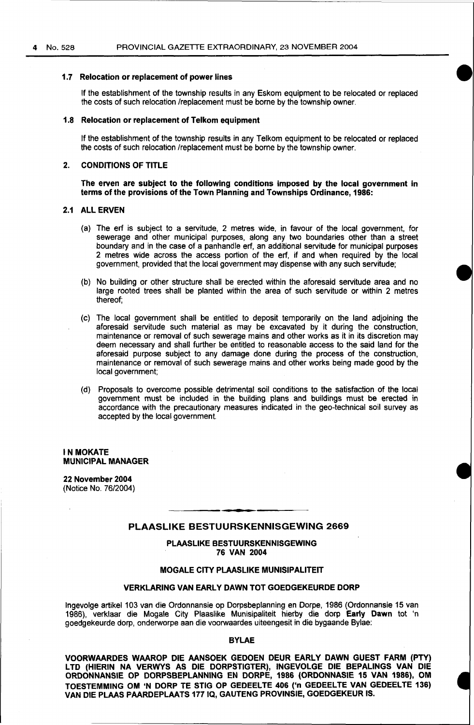#### 1.7 Relocation or replacement of power lines

If the establishment of the township results in any Eskom equipment to be relocated or replaced the costs of such relocation /replacement must be borne by the township owner.

#### 1.8 Relocation or replacement of Telkom equipment

If the establishment of the township results in any Telkom equipment to be relocated or replaced the costs of such relocation /replacement must be borne by the township owner.

## 2. CONDITIONS OF TITLE

The erven are subject to the following conditions imposed by the local government in terms of the provisions of the Town Planning and Townships Ordinance, 1986:

#### 2.1 ALL ERVEN

- (a) The erf is subject to a servitude, 2 metres wide, in favour of the local government, for sewerage and other municipal purposes, along any two boundaries other than a street boundary and in the case of a panhandle erf, an additional servitude for municipal purposes 2 metres wide across the access portion of the erf, if and when required by the local government, provided that the local government may dispense with any such servitude;
- (b) No building or other structure shall be erected within the aforesaid servitude area and no large rooted trees shall be planted within the area of such servitude or within 2 metres thereof;
- (c) The local government shall be entitled to deposit temporarily on the land adjoining the aforesaid servitude such material as may be excavated by it during the construction, maintenance or removal of such sewerage mains and other works as it in its discretion may deem necessary and shall further be entitled to reasonable access to the said land for the aforesaid purpose subject to any damage done during the process of the construction, maintenance or removal of such sewerage mains and other works being made good by the local government;
- (d) Proposals to overcome possible detrimental soil conditions to the satisfaction of the local government must be included in the building plans and buildings must be erected in accordance with the precautionary measures indicated in the geo-technical soil survey as accepted by the local government.

#### IN MOKATE MUNICIPAL MANAGER

22 November 2004 (Notice No. 76/2004)

## PLAASLIKE BESTUURSKENNISGEWING 2669

PLAASLIKE BESTUURSKENNISGEWING 76 VAN 2004

# MOGALE CITY PLAASLIKE MUNISIPALITEIT

## VERKLARING VAN EARLY DAWN TOT GOEDGEKEURDE DORP

Ingevolge artikel 103 van die Ordonnansie op Dorpsbeplanning en Dorpe, 1986 (Ordonnansie 15 van 1986), verklaar die Mogale City Plaaslike Munisipaliteit hierby die dorp Early Dawn tot 'n goedgekeurde dorp, onderworpe aan die voorwaardes uiteengesit in die bygaande Bylae:

## BYLAE

VOORWAARDES WAAROP DIE AANSOEK GEDOEN DEUR EARLY DAWN GUEST FARM (PTY) LTD (HIERIN NA VERWYS AS DIE DORPSTIGTER), INGEVOLGE DIE BEPALINGS VAN DIE ORDONNANSIE OP DORPSBEPLANNING EN DORPE, 1986 (ORDONNASIE 15 VAN 1986}, OM TOESTEMMING OM 'N DORP TE STIG OP GEDEELTE 406 ('n GEDEELTE VAN GEDEELTE 136) VAN DIE PLAAS PAARDEPLAATS 177 IQ, GAUTENG PROVINSIE, GOEDGEKEUR IS.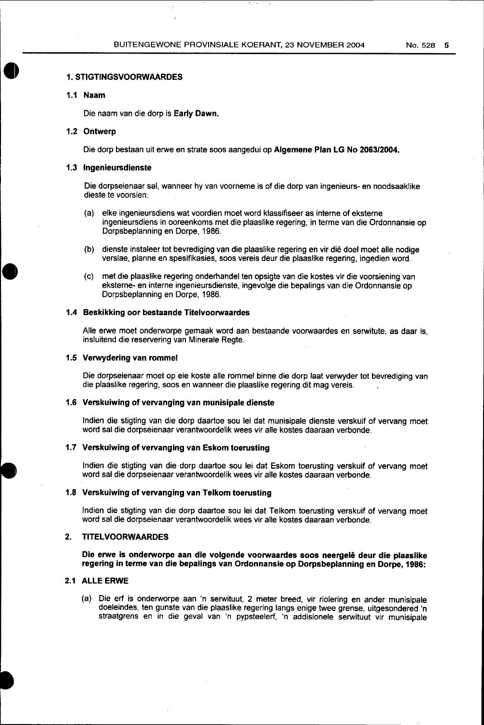#### **1. STIGTINGSVOORWAARDES**

## **1.1 Naam**

 $\bullet$ 

Die naam van die dorp is **Early Dawn.** 

## **1.2 Ontwerp**

Die dorp bestaan uit erwe en strate soos aangedui op **Algemene Plan LG No 2063/2004.** 

## **1.3 lngenieursdienste**

Die dorpseienaar sal, wanneer hy van voorneme is of die dorp van ingenieurs- en noodsaaklike dieste te voorsien:

- (a) elke ingenieursdiens wat voordien moet word klassifiseer as interne of eksterne ingenieursdiens in ooreenkoms met die plaaslike regering, in terme van die Ordonnansie op Dorpsbeplanning en Dorpe, 1986.
- (b) dienste instaleer tot bevrediging van die plaaslike regering en vir die doel moet aile nodige verslae, planne en spesifikasies, soos vereis deur die plaaslike regering, ingedien word.
- (c) met die plaaslike regering onderhandel ten opsigte van die kostes vir die voorsiening van eksterne- en interne ingenieursdienste, ingevolge die bepalings van die Ordonnansie op Dorpsbeplanning en Dorpe, 1986.

## **1.4 Beskikking oor bestaande Titelvoorwaardes**

Aile erwe moet onderworpe gemaak word aan bestaande voorwaardes en serwitute, as daar is, insluitend die reservering van Minerale Regte.

#### **1.5 Verwydering van rommel**

Die dorpseienaar moet op eie koste aile rommel binne die dorp laat verwyder tot bevrediging van die plaaslike regering, soos en wanneer die plaaslike regering dit mag vereis.

#### **1.6 Verskuiwing of vervanging van munisipale dienste**

lndien die stigting van die dorp daartoe sou lei dat munisipale dienste verskuif of vervang moet word sal die dorpseienaar verantwoordelik wees vir aile kostes daaraan verbonde.

# **1.7 Verskuiwing of vervanging van Eskom toerusting**

lndien die stigting van die dorp daartoe sou lei dat Eskom toerusting verskuif of vervang moet word sal die dorpseienaar verantwoordelik wees vir aile kostes daaraan verbonde.

#### **1.8 Verskuiwing of vervanging van Telkom toerusting**

lndien die stigting van die dorp daartoe sou lei dat Telkom toerusting verskuif of vervang moet word sal die dorpseienaar verantwoordelik wees vir aile kostes daaraan verbonde.

#### **2. TITELVOORWAARDES**

**Die erwe is onderworpe aan die volgende voorwaardes soos neergele deur die plaaslike regering in terme van die bepalings van Ordonnansie op Dorpsbeplanning en Dorpe, 1986:** 

## **2.1 ALLE ERWE**

(a) Die erf is onderworpe aan 'n serwituut, 2 meter breed, vir riolering en ander munisipale doeleindes, ten gunste van die plaaslike regering langs enige twee grense, uitgesondered 'n straatgrens en in die geval van 'n pypsteelerf, 'n addisionele serwituut vir munisipale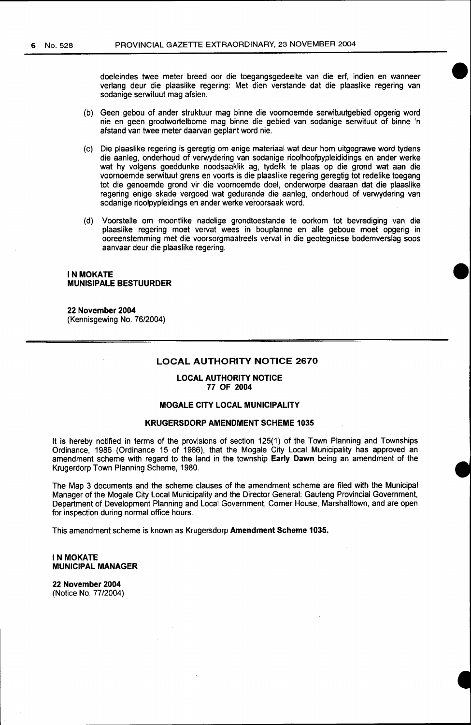doeleindes twee meter breed oor die toegangsgedeelte van die erf, indien en wanneer verlang deur die plaaslike regering: Met dien verstande dat die plaaslike regering van sodanige serwituut mag afsien.

- (b) Geen gebou of ander struktuur mag binne die voornoemde serwituutgebied opgerig word nie en geen grootwortelbome mag binne die gebied van sodanige serwituut of binne 'n afstand van twee meter daarvan geplant word nie.
- (c) Die plaaslike regering is geregtig om enige materiaal wat deur hom uitgegrawe word tydens die aanleg, onderhoud of verwydering van sodanige rioolhoofpypleididings en ander werke wat hy volgens goeddunke noodsaaklik ag, tydelik te plaas op die grand wat aan die voornoemde serwituut grens en voorts is die plaaslike regering geregtig tot redelike toegang tot die genoemde grand vir die voornoemde doel, onderworpe daaraan dat die plaaslike regering enige skade vergoed wat gedurende die aanleg, onderhoud of verwydering van sodanige rioolpypleidings en ander werke veroorsaak word.
- (d) Voorstelle om moontlike nadelige grondtoestande te oorkom tot bevrediging van die plaaslike regering moet vervat wees in bouplanne en aile geboue moet opgerig in ooreenstemming met die voorsorgmaatreëls vervat in die geotegniese bodemverslag soos aanvaar deur die plaaslike regering.

## **INMOKATE MUNISIPALE BESTUURDER**

#### **22 November 2004**  (Kennisgewing No. 76/2004)

#### **LOCAL AUTHORITY NOTICE 2670**

## **LOCAL AUTHORITY NOTICE 77 OF 2004**

# **MOGALE CITY LOCAL MUNICIPALITY**

## **KRUGERSDORP AMENDMENT SCHEME 1035**

It is hereby notified in terms of the provisions of section 125(1) of the Town Planning and Townships Ordinance, 1986 (Ordinance 15 of 1986), that the Mogale City Local Municipality has approved an amendment scheme with regard to the land in the township **Early Dawn** being an amendment of the Krugerdorp Town Planning Scheme, 1980.

The Map 3 documents and the scheme clauses of the amendment scheme are filed with the Municipal Manager of the Mogale City Local Municipality and the Director General: Gauteng Provincial Government, Department of Development Planning and Local Government, Corner House, Marshalltown, and are open for inspection during normal office hours.

This amendment scheme is known as Krugersdorp **Amendment Scheme 1035.** 

#### **IN MOKATE MUNICIPAL MANAGER**

**22 November 2004**  (Notice No. 77/2004)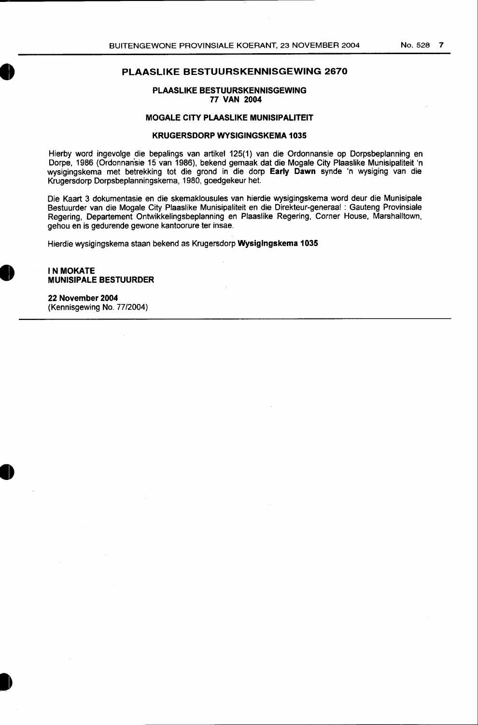PLAASLIKE BESTUURSKENNISGEWING 77 VAN 2004

## MOGALE CITY PLAASLIKE MUNISIPALITEIT

## KRUGERSDORP WYSIGINGSKEMA 1035

Hierby word ingevolge die bepalings van artikel 125(1) van die Ordonnansie op Dorpsbeplanning en Dorpe, 1986 (Ordonnansie 15 van 1986), bekend gemaak dat die Mogale City Plaaslike Munisipaliteit 'n wysigingskema met betrekking tot die grand in die dorp Early Dawn synde 'n wysiging van die Krugersdorp Dorpsbeplanningskema, 1980, goedgekeur het.

Die Kaart 3 dokumentasie en die skemaklousules van hierdie wysigingskema word deur die Munisipale Bestuurder van die Mogale City Plaaslike Munisipaliteit en die Direkteur-generaal : Gauteng Provinsiale Regering, Departement Ontwikkelingsbeplanning en Plaaslike Regering, Corner House, Marshalltown, gehou en is gedurende gewone kantoorure ter insae.

Hierdie wysigingskema staan bekend as Krugersdorp Wysigingskema 1035

## IN MOKATE MUNISIPALE BESTUURDER

**•** 

22 November 2004 (Kennisgewing No. 77/2004)